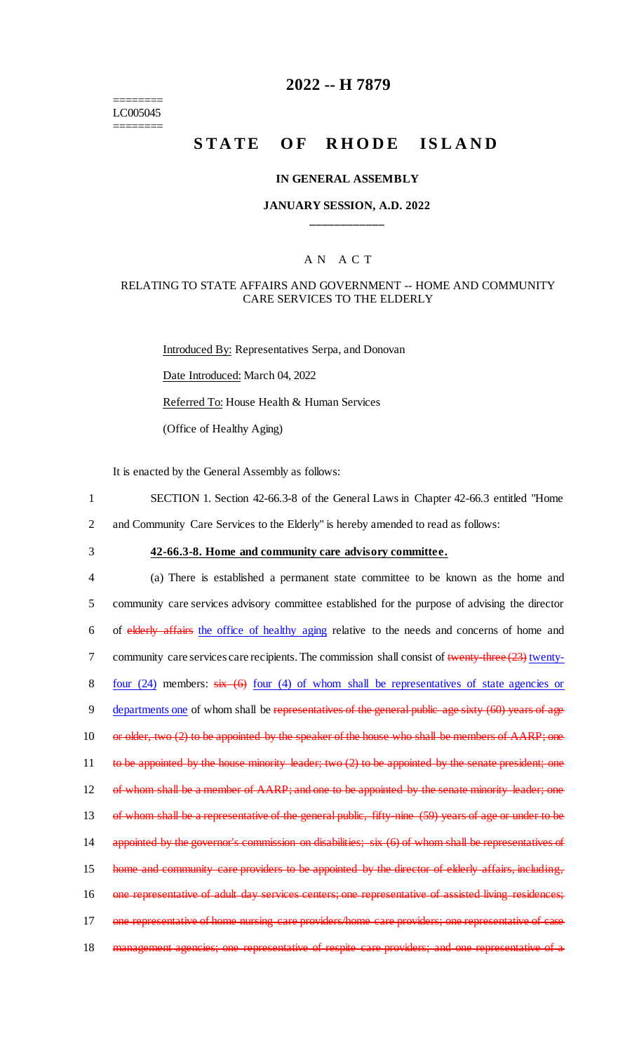======== LC005045 ========

## **2022 -- H 7879**

# **STATE OF RHODE ISLAND**

#### **IN GENERAL ASSEMBLY**

### **JANUARY SESSION, A.D. 2022 \_\_\_\_\_\_\_\_\_\_\_\_**

### A N A C T

### RELATING TO STATE AFFAIRS AND GOVERNMENT -- HOME AND COMMUNITY CARE SERVICES TO THE ELDERLY

Introduced By: Representatives Serpa, and Donovan Date Introduced: March 04, 2022 Referred To: House Health & Human Services (Office of Healthy Aging)

It is enacted by the General Assembly as follows:

- 1 SECTION 1. Section 42-66.3-8 of the General Laws in Chapter 42-66.3 entitled "Home
- 2 and Community Care Services to the Elderly" is hereby amended to read as follows:
- 

## 3 **42-66.3-8. Home and community care advisory committee.**

4 (a) There is established a permanent state committee to be known as the home and 5 community care services advisory committee established for the purpose of advising the director 6 of elderly affairs the office of healthy aging relative to the needs and concerns of home and 7 community care services care recipients. The commission shall consist of twenty-three (23) twenty-8 four (24) members: six (6) four (4) of whom shall be representatives of state agencies or 9 departments one of whom shall be representatives of the general public age sixty (60) years of age 10 or older, two (2) to be appointed by the speaker of the house who shall be members of AARP; one 11 to be appointed by the house minority leader; two (2) to be appointed by the senate president; one 12 of whom shall be a member of AARP; and one to be appointed by the senate minority leader; one 13 of whom shall be a representative of the general public, fifty-nine (59) years of age or under to be 14 appointed by the governor's commission on disabilities; six (6) of whom shall be representatives of 15 home and community care providers to be appointed by the director of elderly affairs, including, 16 one representative of adult day services centers; one representative of assisted living residences; 17 one representative of home nursing care providers/home care providers; one representative of case 18 management agencies; one representative of respite care providers; and one representative of a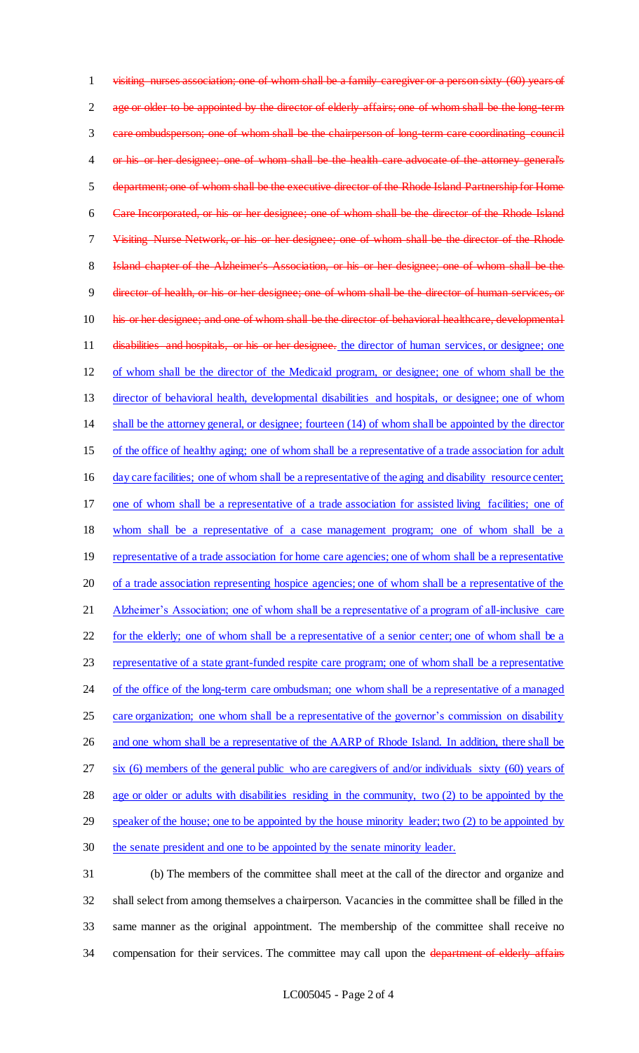visiting nurses association; one of whom shall be a family caregiver or a person sixty (60) years of 2 age or older to be appointed by the director of elderly affairs; one of whom shall be the long-term care ombudsperson; one of whom shall be the chairperson of long-term care coordinating council 4 or his or her designee; one of whom shall be the health care advocate of the attorney general's department; one of whom shall be the executive director of the Rhode Island Partnership for Home Care Incorporated, or his or her designee; one of whom shall be the director of the Rhode Island Visiting Nurse Network, or his or her designee; one of whom shall be the director of the Rhode Island chapter of the Alzheimer's Association, or his or her designee; one of whom shall be the 9 director of health, or his or her designee; one of whom shall be the director of human services, or 10 his or her designee; and one of whom shall be the director of behavioral healthcare, developmental disabilities and hospitals, or his or her designee. the director of human services, or designee; one of whom shall be the director of the Medicaid program, or designee; one of whom shall be the director of behavioral health, developmental disabilities and hospitals, or designee; one of whom shall be the attorney general, or designee; fourteen (14) of whom shall be appointed by the director of the office of healthy aging; one of whom shall be a representative of a trade association for adult day care facilities; one of whom shall be a representative of the aging and disability resource center; one of whom shall be a representative of a trade association for assisted living facilities; one of whom shall be a representative of a case management program; one of whom shall be a 19 representative of a trade association for home care agencies; one of whom shall be a representative of a trade association representing hospice agencies; one of whom shall be a representative of the 21 Alzheimer's Association; one of whom shall be a representative of a program of all-inclusive care for the elderly; one of whom shall be a representative of a senior center; one of whom shall be a representative of a state grant-funded respite care program; one of whom shall be a representative 24 of the office of the long-term care ombudsman; one whom shall be a representative of a managed 25 care organization; one whom shall be a representative of the governor's commission on disability 26 and one whom shall be a representative of the AARP of Rhode Island. In addition, there shall be 27 six (6) members of the general public who are caregivers of and/or individuals sixty (60) years of age or older or adults with disabilities residing in the community, two (2) to be appointed by the 29 speaker of the house; one to be appointed by the house minority leader; two (2) to be appointed by the senate president and one to be appointed by the senate minority leader. (b) The members of the committee shall meet at the call of the director and organize and shall select from among themselves a chairperson. Vacancies in the committee shall be filled in the

 same manner as the original appointment. The membership of the committee shall receive no 34 compensation for their services. The committee may call upon the department of elderly affairs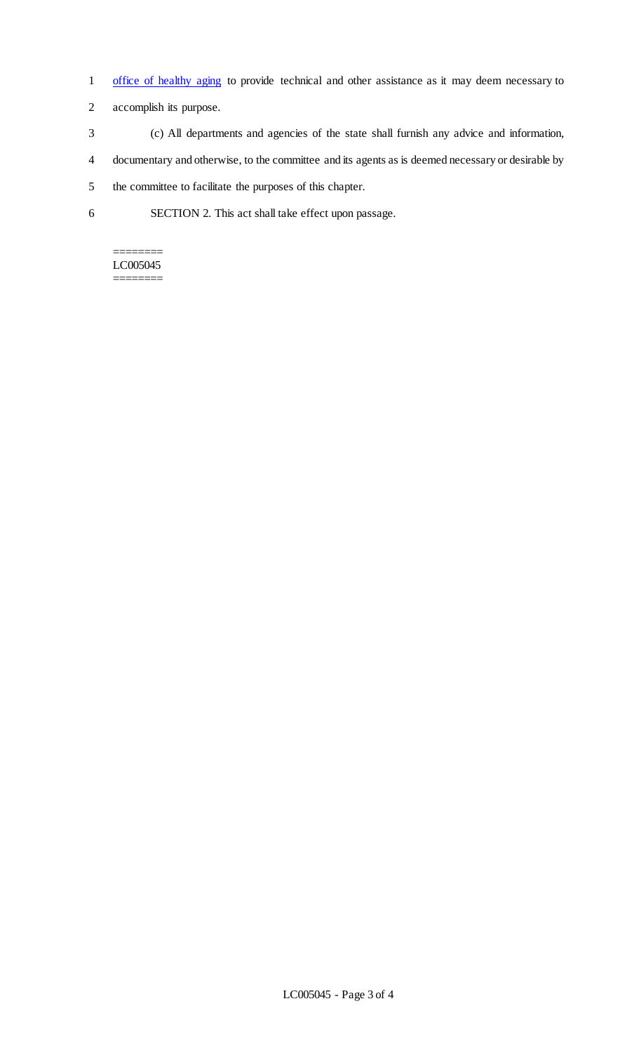- 1 office of healthy aging to provide technical and other assistance as it may deem necessary to
- 2 accomplish its purpose.
- 3 (c) All departments and agencies of the state shall furnish any advice and information,
- 4 documentary and otherwise, to the committee and its agents as is deemed necessary or desirable by
- 5 the committee to facilitate the purposes of this chapter.
- 6 SECTION 2. This act shall take effect upon passage.

#### ======== LC005045 ========